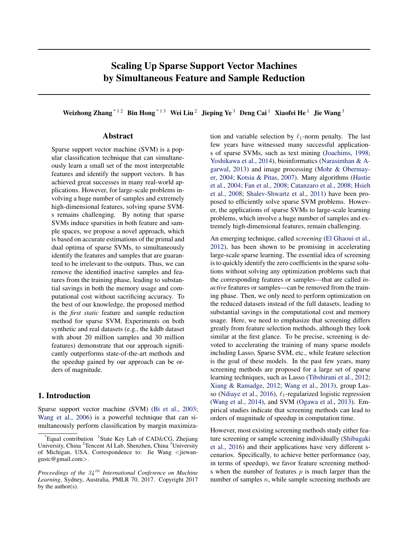# <span id="page-0-0"></span>Scaling Up Sparse Support Vector Machines by Simultaneous Feature and Sample Reduction

Weizhong Zhang<sup>\* 12</sup> Bin Hong<sup>\* 13</sup> Wei Liu<sup>2</sup> Jieping Ye<sup>3</sup> Deng Cai<sup>1</sup> Xiaofei He<sup>1</sup> Jie Wang<sup>3</sup>

# Abstract

Sparse support vector machine (SVM) is a popular classification technique that can simultaneously learn a small set of the most interpretable features and identify the support vectors. It has achieved great successes in many real-world applications. However, for large-scale problems involving a huge number of samples and extremely high-dimensional features, solving sparse SVMs remains challenging. By noting that sparse SVMs induce sparsities in both feature and sample spaces, we propose a novel approach, which is based on accurate estimations of the primal and dual optima of sparse SVMs, to simultaneously identify the features and samples that are guaranteed to be irrelevant to the outputs. Thus, we can remove the identified inactive samples and features from the training phase, leading to substantial savings in both the memory usage and computational cost without sacrificing accuracy. To the best of our knowledge, the proposed method is the *first static* feature and sample reduction method for sparse SVM. Experiments on both synthetic and real datasets (e.g., the kddb dataset with about 20 million samples and 30 million features) demonstrate that our approach significantly outperforms state-of-the-art methods and the speedup gained by our approach can be orders of magnitude.

# 1. Introduction

Sparse support vector machine (SVM) [\(Bi et al.,](#page-8-0) [2003;](#page-8-0) [Wang et al.,](#page-9-0) [2006\)](#page-9-0) is a powerful technique that can simultaneously perform classification by margin maximization and variable selection by  $\ell_1$ -norm penalty. The last few years have witnessed many successful applications of sparse SVMs, such as text mining [\(Joachims,](#page-8-0) [1998;](#page-8-0) [Yoshikawa et al.,](#page-9-0) [2014\)](#page-9-0), bioinformatics [\(Narasimhan & A](#page-8-0)[garwal,](#page-8-0) [2013\)](#page-8-0) and image processing [\(Mohr & Obermay](#page-8-0)[er,](#page-8-0) [2004;](#page-8-0) [Kotsia & Pitas,](#page-8-0) [2007\)](#page-8-0). Many algorithms [\(Hastie](#page-8-0) [et al.,](#page-8-0) [2004;](#page-8-0) [Fan et al.,](#page-8-0) [2008;](#page-8-0) [Catanzaro et al.,](#page-8-0) [2008;](#page-8-0) [Hsieh](#page-8-0) [et al.,](#page-8-0) [2008;](#page-8-0) [Shalev-Shwartz et al.,](#page-8-0) [2011\)](#page-8-0) have been proposed to efficiently solve sparse SVM problems. However, the applications of sparse SVMs to large-scale learning problems, which involve a huge number of samples and extremely high-dimensional features, remain challenging.

An emerging technique, called *screening* [\(El Ghaoui et al.,](#page-8-0) [2012\)](#page-8-0), has been shown to be promising in accelerating large-scale sparse learning. The essential idea of screening is to quickly identify the zero coefficients in the sparse solutions without solving any optimization problems such that the corresponding features or samples—that are called *inactive* features or samples—can be removed from the training phase. Then, we only need to perform optimization on the reduced datasets instead of the full datasets, leading to substantial savings in the computational cost and memory usage. Here, we need to emphasize that screening differs greatly from feature selection methods, although they look similar at the first glance. To be precise, screening is devoted to accelerating the training of many sparse models including Lasso, Sparse SVM, etc., while feature selection is the goal of these models. In the past few years, many screening methods are proposed for a large set of sparse learning techniques, such as Lasso [\(Tibshirani et al.,](#page-8-0) [2012;](#page-8-0) [Xiang & Ramadge,](#page-9-0) [2012;](#page-9-0) [Wang et al.,](#page-8-0) [2013\)](#page-8-0), group Las-so [\(Ndiaye et al.,](#page-8-0) [2016\)](#page-8-0),  $\ell_1$ -regularized logistic regression [\(Wang et al.,](#page-9-0) [2014\)](#page-9-0), and SVM [\(Ogawa et al.,](#page-8-0) [2013\)](#page-8-0). Empirical studies indicate that screening methods can lead to orders of magnitude of speedup in computation time.

However, most existing screening methods study either feature screening or sample screening individually [\(Shibagaki](#page-8-0) [et al.,](#page-8-0) [2016\)](#page-8-0) and their applications have very different scenarios. Specifically, to achieve better performance (say, in terms of speedup), we favor feature screening methods when the number of features  $p$  is much larger than the number of samples  $n$ , while sample screening methods are

<sup>\*</sup>Equal contribution <sup>1</sup>State Key Lab of CAD&CG, Zhejiang University, China <sup>2</sup>Tencent AI Lab, Shenzhen, China <sup>3</sup>University of Michigan, USA. Correspondence to: Jie Wang <jiewangustc@gmail.com>.

*Proceedings of the* 34 th *International Conference on Machine Learning*, Sydney, Australia, PMLR 70, 2017. Copyright 2017 by the author(s).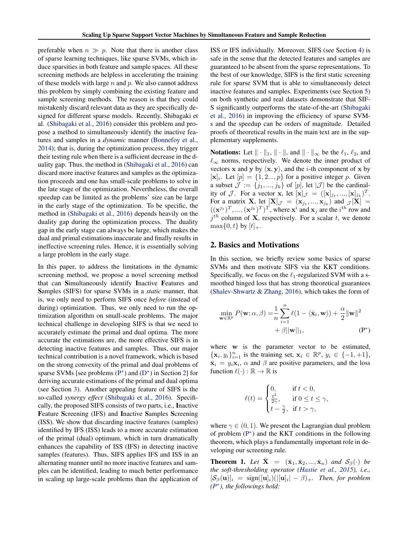<span id="page-1-0"></span>preferable when  $n \gg p$ . Note that there is another class of sparse learning techniques, like sparse SVMs, which induce sparsities in both feature and sample spaces. All these screening methods are helpless in accelerating the training of these models with large  $n$  and  $p$ . We also cannot address this problem by simply combining the existing feature and sample screening methods. The reason is that they could mistakenly discard relevant data as they are specifically designed for different sparse models. Recently, Shibagaki et al. [\(Shibagaki et al.,](#page-8-0) [2016\)](#page-8-0) consider this problem and propose a method to simultaneously identify the inactive features and samples in a *dynamic* manner [\(Bonnefoy et al.,](#page-8-0) [2014\)](#page-8-0); that is, during the optimization process, they trigger their testing rule when there is a sufficient decrease in the duality gap. Thus, the method in [\(Shibagaki et al.,](#page-8-0) [2016\)](#page-8-0) can discard more inactive features and samples as the optimization proceeds and one has small-scale problems to solve in the late stage of the optimization. Nevertheless, the overall speedup can be limited as the problems' size can be large in the early stage of the optimization. To be specific, the method in [\(Shibagaki et al.,](#page-8-0) [2016\)](#page-8-0) depends heavily on the duality gap during the optimization process. The duality gap in the early stage can always be large, which makes the dual and primal estimations inaccurate and finally results in ineffective screening rules. Hence, it is essentially solving a large problem in the early stage.

In this paper, to address the limitations in the dynamic screening method, we propose a novel screening method that can Simultaneously identify Inactive Features and Samples (SIFS) for sparse SVMs in a *static* manner, that is, we only need to perform SIFS once *before* (instead of during) optimization. Thus, we only need to run the optimization algorithm on small-scale problems. The major technical challenge in developing SIFS is that we need to accurately estimate the primal and dual optima. The more accurate the estimations are, the more effective SIFS is in detecting inactive features and samples. Thus, our major technical contribution is a novel framework, which is based on the strong convexity of the primal and dual problems of sparse SVMs [see problems  $(P^*)$  and  $(D^*)$  in Section 2] for deriving accurate estimations of the primal and dual optima (see Section [3\)](#page-2-0). Another appealing feature of SIFS is the so-called *synergy effect* [\(Shibagaki et al.,](#page-8-0) [2016\)](#page-8-0). Specifically, the proposed SIFS consists of two parts, i.e., Inactive Feature Screening (IFS) and Inactive Samples Screening (ISS). We show that discarding inactive features (samples) identified by IFS (ISS) leads to a more accurate estimation of the primal (dual) optimum, which in turn dramatically enhances the capability of ISS (IFS) in detecting inactive samples (features). Thus, SIFS applies IFS and ISS in an alternating manner until no more inactive features and samples can be identified, leading to much better performance in scaling up large-scale problems than the application of

ISS or IFS individually. Moreover, SIFS (see Section [4\)](#page-3-0) is safe in the sense that the detected features and samples are guaranteed to be absent from the sparse representations. To the best of our knowledge, SIFS is the first static screening rule for sparse SVM that is able to simultaneously detect inactive features and samples. Experiments (see Section [5\)](#page-5-0) on both synthetic and real datasets demonstrate that SIF-S significantly outperforms the state-of-the-art [\(Shibagaki](#page-8-0) [et al.,](#page-8-0) [2016\)](#page-8-0) in improving the efficiency of sparse SVMs and the speedup can be orders of magnitude. Detailed proofs of theoretical results in the main text are in the supplementary supplements.

**Notations:** Let  $\|\cdot\|_1, \|\cdot\|$ , and  $\|\cdot\|_{\infty}$  be the  $\ell_1, \ell_2$ , and  $\ell_{\infty}$  norms, respectively. We denote the inner product of vectors **x** and **y** by  $\langle x, y \rangle$ , and the *i*-th component of **x** by  $[\mathbf{x}]_i$ . Let  $[p] = \{1, 2..., p\}$  for a positive integer p. Given a subset  $\mathcal{J} := \{j_1, ..., j_k\}$  of  $[p]$ , let  $|\mathcal{J}|$  be the cardinality of  $\mathcal{J}$ . For a vector **x**, let  $[\mathbf{x}]_{\mathcal{J}} = ([\mathbf{x}]_{j_1}, ..., [\mathbf{x}]_{j_k})^T$ . For a matrix **X**, let  $[\mathbf{X}]_{\mathcal{J}} = (\mathbf{x}_{j_1},...,\mathbf{x}_{j_k})$  and  $_{\mathcal{J}}[\mathbf{X}] =$  $((\mathbf{x}^{j_1})^T, ..., (\mathbf{x}^{j_k})^T)^T$ , where  $\mathbf{x}^i$  and  $\mathbf{x}_j$  are the  $i^{th}$  row and  $j<sup>th</sup>$  column of **X**, respectively. For a scalar t, we denote  $\max\{0, t\}$  by  $[t]_{+}$ .

# 2. Basics and Motivations

In this section, we briefly review some basics of sparse SVMs and then motivate SIFS via the KKT conditions. Specifically, we focus on the  $\ell_1$ -regularized SVM with a smoothed hinged loss that has strong theoretical guarantees [\(Shalev-Shwartz & Zhang,](#page-8-0) [2016\)](#page-8-0), which takes the form of

$$
\min_{\mathbf{w} \in \mathbb{R}^p} P(\mathbf{w}; \alpha, \beta) = \frac{1}{n} \sum_{i=1}^n \ell(1 - \langle \bar{\mathbf{x}}_i, \mathbf{w} \rangle) + \frac{\alpha}{2} ||\mathbf{w}||^2
$$

$$
+ \beta ||\mathbf{w}||_1, \tag{P*}
$$

where w is the parameter vector to be estimated,  $\{\mathbf x_i, y_i\}_{i=1}^n$  is the training set,  $\mathbf x_i \in \mathbb{R}^p$ ,  $y_i \in \{-1, +1\}$ ,  $\bar{\mathbf{x}}_i = y_i \mathbf{x}_i$ ,  $\alpha$  and  $\beta$  are positive parameters, and the loss function  $\ell(\cdot) : \mathbb{R} \to \mathbb{R}$  is

$$
\ell(t) = \begin{cases} 0, & \text{if } t < 0, \\ \frac{t^2}{2\gamma}, & \text{if } 0 \le t \le \gamma, \\ t - \frac{\gamma}{2}, & \text{if } t > \gamma, \end{cases}
$$

where  $\gamma \in (0, 1)$ . We present the Lagrangian dual problem of problem (P<sup>\*</sup>) and the KKT conditions in the following theorem, which plays a fundamentally important role in developing our screening rule.

**Theorem 1.** Let  $X = (\bar{x}_1, \bar{x}_2, ..., \bar{x}_n)$  *and*  $S_\beta(\cdot)$  *be the soft-thresholding operator [\(Hastie et al.,](#page-8-0) [2015\)](#page-8-0), i.e.,*  $[\mathcal{S}_{\beta}(\mathbf{u})]_i = \text{sign}([\mathbf{u}]_i)(|[\mathbf{u}]_i| - \beta)_+$ . Then, for problem *(P* ∗ *), the followings hold:*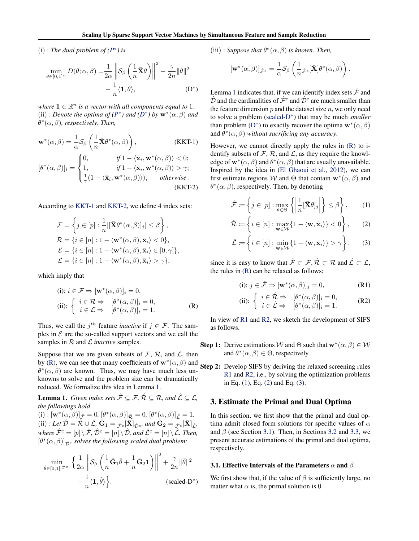<span id="page-2-0"></span> $(i)$ : *The dual problem of*  $(P^*)$  $(P^*)$  *is* 

$$
\min_{\theta \in [0,1]^n} D(\theta; \alpha, \beta) = \frac{1}{2\alpha} \left\| \mathcal{S}_{\beta} \left( \frac{1}{n} \bar{\mathbf{X}} \theta \right) \right\|^2 + \frac{\gamma}{2n} \|\theta\|^2 - \frac{1}{n} \langle \mathbf{1}, \theta \rangle, \tag{D*}
$$

where  $\mathbf{1} \in \mathbb{R}^n$  *is a vector with all components equal to* 1*.* (ii) : *Denote the optima of*  $(P^*)$  $(P^*)$  *and*  $(D^*)$  $(D^*)$  *by*  $\mathbf{w}^*(\alpha, \beta)$  *and*  $\theta^*(\alpha, \beta)$ , respectively. Then,

$$
\mathbf{w}^*(\alpha, \beta) = \frac{1}{\alpha} \mathcal{S}_{\beta} \left( \frac{1}{n} \bar{\mathbf{X}} \theta^*(\alpha, \beta) \right), \qquad (KKT-1)
$$

$$
[\theta^*(\alpha, \beta)]_i = \begin{cases} 0, & \text{if } 1 - \langle \bar{\mathbf{x}}_i, \mathbf{w}^*(\alpha, \beta) \rangle < 0; \\ 1, & \text{if } 1 - \langle \bar{\mathbf{x}}_i, \mathbf{w}^*(\alpha, \beta) \rangle > \gamma; \\ \frac{1}{\gamma} (1 - \langle \bar{\mathbf{x}}_i, \mathbf{w}^*(\alpha, \beta) \rangle), & \text{otherwise.} \end{cases}
$$
\n(KKT-2)

According to [KKT-1](#page-1-0) and [KKT-2,](#page-1-0) we define 4 index sets:

$$
\mathcal{F} = \left\{ j \in [p] : \frac{1}{n} | [\bar{\mathbf{X}} \theta^* (\alpha, \beta)]_j | \leq \beta \right\},\
$$
  

$$
\mathcal{R} = \left\{ i \in [n] : 1 - \langle \mathbf{w}^* (\alpha, \beta), \bar{\mathbf{x}}_i \rangle < 0 \right\},\
$$
  

$$
\mathcal{E} = \left\{ i \in [n] : 1 - \langle \mathbf{w}^* (\alpha, \beta), \bar{\mathbf{x}}_i \rangle \in [0, \gamma] \right\},\
$$
  

$$
\mathcal{L} = \left\{ i \in [n] : 1 - \langle \mathbf{w}^* (\alpha, \beta), \bar{\mathbf{x}}_i \rangle > \gamma \right\},\
$$

which imply that

(i): 
$$
i \in \mathcal{F} \Rightarrow [\mathbf{w}^*(\alpha, \beta)]_i = 0
$$
,  
\n(ii): 
$$
\begin{cases} i \in \mathcal{R} \Rightarrow [\theta^*(\alpha, \beta)]_i = 0, \\ i \in \mathcal{L} \Rightarrow [\theta^*(\alpha, \beta)]_i = 1. \end{cases}
$$
 (R)

Thus, we call the  $j<sup>th</sup>$  feature *inactive* if  $j \in \mathcal{F}$ . The samples in  $\mathcal E$  are the so-called support vectors and we call the samples in  $R$  and  $L$  *inactive* samples.

Suppose that we are given subsets of  $\mathcal{F}, \mathcal{R}$ , and  $\mathcal{L}$ , then by [\(R\)](#page-1-0), we can see that many coefficients of  $w^*(\alpha, \beta)$  and  $\theta^*(\alpha, \beta)$  are known. Thus, we may have much less unknowns to solve and the problem size can be dramatically reduced. We formalize this idea in Lemma 1.

**Lemma 1.** *Given index sets*  $\hat{\mathcal{F}} \subseteq \mathcal{F}, \hat{\mathcal{R}} \subseteq \mathcal{R}$ *, and*  $\hat{\mathcal{L}} \subseteq \mathcal{L}$ *, the followings hold*

 $\label{eq:3.1} \text{(i)}: \left[\mathbf{w}^*(\alpha, \beta)\right]_{\hat{\mathcal{F}}}=0, \, \left[\theta^*(\alpha, \beta)\right]_{\hat{\mathcal{R}}}=0, \, \left[\theta^*(\alpha, \beta)\right]_{\hat{\mathcal{L}}}=1.$  $\hat{\mathbf{C}}(\text{ii}):$  Let  $\hat{\mathcal{D}} = \hat{\mathcal{R}} \cup \hat{\mathcal{L}}, \, \hat{\mathbf{G}}_1 = \hat{\mathcal{F}}_c[\bar{\mathbf{X}}]_{\hat{\mathcal{D}}},$  and  $\hat{\mathbf{G}}_2 = \hat{\mathcal{F}}_c[\bar{\mathbf{X}}]_{\hat{\mathcal{L}}},$ *where*  $\hat{\mathcal{F}}^c = [p] \setminus \hat{\mathcal{F}}, \hat{\mathcal{D}}^c = [n] \setminus \hat{\mathcal{D}},$  and  $\hat{\mathcal{L}}^c = [n] \setminus \hat{\mathcal{L}}$ *. Then,*  $[\theta^*(\alpha,\beta)]_{\hat{\mathcal{D}}^c}$  *solves the following scaled dual problem:* 

$$
\min_{\hat{\theta}\in[0,1]^{|\hat{\mathcal{D}}^c|}} \left\{ \frac{1}{2\alpha} \left\| \mathcal{S}_{\beta} \left( \frac{1}{n} \hat{\mathbf{G}}_1 \hat{\theta} + \frac{1}{n} \hat{\mathbf{G}}_2 \mathbf{1} \right) \right\|^2 + \frac{\gamma}{2n} \|\hat{\theta}\|^2 - \frac{1}{n} \langle \mathbf{1}, \hat{\theta} \rangle \right\}.
$$
\n(scaled-D<sup>\*</sup>)

(iii) : *Suppose that*  $\theta^*(\alpha, \beta)$  *is known. Then,* 

$$
[\mathbf{w}^*(\alpha,\beta)]_{\hat{\mathcal{F}}^c} = \frac{1}{\alpha} \mathcal{S}_{\beta} \left( \frac{1}{n} \hat{\mathcal{F}}^c [\bar{\mathbf{X}}] \theta^*(\alpha,\beta) \right).
$$

Lemma 1 indicates that, if we can identify index sets  $\hat{\mathcal{F}}$  and  $\hat{\mathcal{D}}$  and the cardinalities of  $\hat{\mathcal{F}}^c$  and  $\hat{\mathcal{D}}^c$  are much smaller than the feature dimension  $p$  and the dataset size  $n$ , we only need to solve a problem (scaled-D<sup>∗</sup> ) that may be much *smaller* than problem [\(D](#page-1-0)<sup>\*</sup>) to exactly recover the optima  $\mathbf{w}^*(\alpha, \beta)$ and  $\theta^*(\alpha, \beta)$  without sacrificing any accuracy.

However, we cannot directly apply the rules in [\(R\)](#page-1-0) to identify subsets of  $\mathcal{F}, \mathcal{R}$ , and  $\mathcal{L}$ , as they require the knowledge of  $\mathbf{w}^*(\alpha, \beta)$  and  $\theta^*(\alpha, \beta)$  that are usually unavailable. Inspired by the idea in [\(El Ghaoui et al.,](#page-8-0) [2012\)](#page-8-0), we can first estimate regions W and  $\Theta$  that contain  $\mathbf{w}^*(\alpha,\beta)$  and  $\theta^*(\alpha, \beta)$ , respectively. Then, by denoting

$$
\hat{\mathcal{F}} := \left\{ j \in [p] : \max_{\theta \in \Theta} \left\{ \left| \frac{1}{n} [\bar{\mathbf{X}} \theta]_j \right| \right\} \leq \beta \right\},\qquad(1)
$$

$$
\hat{\mathcal{R}} := \left\{ i \in [n] : \max_{\mathbf{w} \in \mathcal{W}} \{ 1 - \langle \mathbf{w}, \bar{\mathbf{x}}_i \rangle \} < 0 \right\},\tag{2}
$$

$$
\hat{\mathcal{L}} := \left\{ i \in [n] : \min_{\mathbf{w} \in \mathcal{W}} \{ 1 - \langle \mathbf{w}, \bar{\mathbf{x}}_i \rangle \} > \gamma \right\},\qquad(3)
$$

since it is easy to know that  $\hat{\mathcal{F}} \subset \mathcal{F}, \hat{\mathcal{R}} \subset \mathcal{R}$  and  $\hat{\mathcal{L}} \subset \mathcal{L}$ , the rules in [\(R\)](#page-1-0) can be relaxed as follows:

(i): 
$$
j \in \hat{\mathcal{F}} \Rightarrow [\mathbf{w}^*(\alpha, \beta)]_j = 0,
$$
 (R1)

(ii): 
$$
\begin{cases} i \in \hat{\mathcal{R}} \Rightarrow [\theta^*(\alpha, \beta)]_i = 0, \\ i \in \hat{\mathcal{L}} \Rightarrow [\theta^*(\alpha, \beta)]_i = 1. \end{cases}
$$
 (R2)

In view of R1 and R2, we sketch the development of SIFS as follows.

- **Step 1:** Derive estimations W and  $\Theta$  such that  $\mathbf{w}^*(\alpha, \beta) \in \mathcal{W}$ and  $\theta^*(\alpha, \beta) \in \Theta$ , respectively.
- Step 2: Develop SIFS by deriving the relaxed screening rules R1 and R2, i.e., by solving the optimization problems in Eq. (1), Eq. (2) and Eq. (3).

## 3. Estimate the Primal and Dual Optima

In this section, we first show that the primal and dual optima admit closed form solutions for specific values of  $\alpha$ and  $\beta$  (see Section 3.1). Then, in Sections [3.2](#page-3-0) and [3.3,](#page-3-0) we present accurate estimations of the primal and dual optima, respectively.

### 3.1. Effective Intervals of the Parameters  $\alpha$  and  $\beta$

We first show that, if the value of  $\beta$  is sufficiently large, no matter what  $\alpha$  is, the primal solution is 0.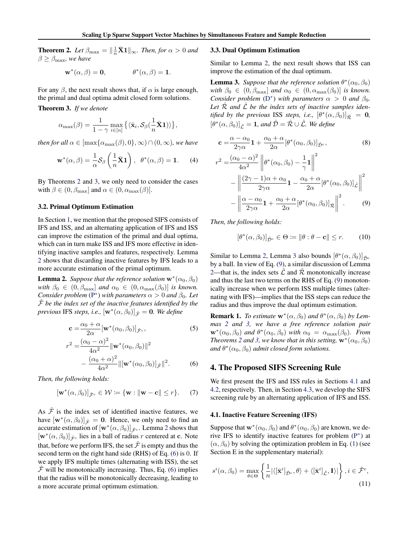<span id="page-3-0"></span>**Theorem 2.** Let  $\beta_{\text{max}} = \left\| \frac{1}{n}\bar{\mathbf{X}}\mathbf{1} \right\|_{\infty}$ . Then, for  $\alpha > 0$  and  $\beta \geq \beta_{\text{max}}$ *, we have* 

> $\mathbf{w}^*(\alpha, \beta) = \mathbf{0}, \qquad \qquad \theta^*$  $\theta^*(\alpha, \beta) = 1.$

For any  $\beta$ , the next result shows that, if  $\alpha$  is large enough, the primal and dual optima admit closed form solutions.

Theorem 3. *If we denote*

$$
\alpha_{\max}(\beta) = \frac{1}{1-\gamma} \max_{i \in [n]} \left\{ \langle \bar{\mathbf{x}}_i, \mathcal{S}_{\beta}(\frac{1}{n}\bar{\mathbf{X}}\mathbf{1}) \rangle \right\},\
$$

*then for all*  $\alpha \in [\max{\alpha_{\max}(\beta), 0}, \infty) \cap (0, \infty)$ *, we have* 

$$
\mathbf{w}^*(\alpha,\beta) = \frac{1}{\alpha} \mathcal{S}_{\beta} \left(\frac{1}{n}\bar{\mathbf{X}}\mathbf{1}\right), \ \ \theta^*(\alpha,\beta) = \mathbf{1}.\tag{4}
$$

By Theorems [2](#page-2-0) and 3, we only need to consider the cases with  $\beta \in (0, \beta_{\text{max}}]$  and  $\alpha \in (0, \alpha_{\text{max}}(\beta)).$ 

## 3.2. Primal Optimum Estimation

In Section [1,](#page-0-0) we mention that the proposed SIFS consists of IFS and ISS, and an alternating application of IFS and ISS can improve the estimation of the primal and dual optima, which can in turn make ISS and IFS more effective in identifying inactive samples and features, respectively. Lemma 2 shows that discarding inactive features by IFS leads to a more accurate estimation of the primal optimum.

**Lemma 2.** *Suppose that the reference solution*  $\mathbf{w}^*(\alpha_0, \beta_0)$ *with*  $\beta_0 \in (0, \beta_{\text{max}}]$  *and*  $\alpha_0 \in (0, \alpha_{\text{max}}(\beta_0)]$  *is known. Consider problem* ( $P^*$ ) *with parameters*  $\alpha > 0$  *and*  $\beta_0$ *. Let*  $\hat{\mathcal{F}}$  be the index set of the inactive features identified by the *previous* IFS *steps, i.e.,*  $[\mathbf{w}^*(\alpha, \beta_0)]_{\hat{\mathcal{F}}} = \mathbf{0}$ *. We define* 

$$
\mathbf{c} = \frac{\alpha_0 + \alpha}{2\alpha} [\mathbf{w}^*(\alpha_0, \beta_0)]_{\hat{\mathcal{F}}^c},\tag{5}
$$

$$
{}^{2} = \frac{(\alpha_{0} - \alpha)^{2}}{4\alpha^{2}} ||\mathbf{w}^{*}(\alpha_{0}, \beta_{0})||^{2}
$$

$$
- \frac{(\alpha_{0} + \alpha)^{2}}{4\alpha^{2}} ||[\mathbf{w}^{*}(\alpha_{0}, \beta_{0})]_{\hat{\mathcal{F}}}||^{2}.
$$
(6)

*Then, the following holds:*

r

$$
[\mathbf{w}^*(\alpha,\beta_0)]_{\hat{\mathcal{F}}^c}\in\mathcal{W}\coloneqq\{\mathbf{w}:\|\mathbf{w}-\mathbf{c}\|\leq r\}.\qquad(7)
$$

As  $\hat{\mathcal{F}}$  is the index set of identified inactive features, we have  $[w^*(\alpha, \beta_0)]_{\hat{\mathcal{F}}} = 0$ . Hence, we only need to find an accurate estimation of  $[\mathbf{w}^*(\alpha, \beta_0)]_{\hat{\mathcal{F}}^c}$ . Lemma 2 shows that  $[\mathbf{w}^*(\alpha, \beta_0)]_{\hat{\mathcal{F}}^c}$  lies in a ball of radius r centered at c. Note that, before we perform IFS, the set  $\hat{\mathcal{F}}$  is empty and thus the second term on the right hand side (RHS) of Eq. (6) is 0. If we apply IFS multiple times (alternating with ISS), the set  $F$  will be monotonically increasing. Thus, Eq. (6) implies that the radius will be monotonically decreasing, leading to a more accurate primal optimum estimation.

#### 3.3. Dual Optimum Estimation

Similar to Lemma 2, the next result shows that ISS can improve the estimation of the dual optimum.

**Lemma 3.** *Suppose that the reference solution*  $\theta^*(\alpha_0, \beta_0)$ *with*  $\beta_0 \in (0, \beta_{\text{max}}]$  *and*  $\alpha_0 \in (0, \alpha_{\text{max}}(\beta_0)]$  *is known. Consider problem* [\(D](#page-1-0)<sup>\*</sup>) *with parameters*  $\alpha > 0$  *and*  $\beta_0$ *.* Let  $\overline{\mathcal{R}}$  and  $\overline{\mathcal{L}}$  be the index sets of inactive samples iden*tified by the previous* ISS *steps, i.e.,*  $[\theta^*(\alpha, \beta_0)]_{\hat{\mathcal{R}}} = 0$ ,  $[\theta^*(\alpha, \beta_0)]_{\hat{\mathcal{L}}} = 1$ , and  $\hat{\mathcal{D}} = \hat{\mathcal{R}} \cup \hat{\mathcal{L}}$ *. We define* 

$$
\mathbf{c} = \frac{\alpha - \alpha_0}{2\gamma\alpha} \mathbf{1} + \frac{\alpha_0 + \alpha}{2\alpha} [\theta^*(\alpha_0, \beta_0)]_{\hat{\mathcal{D}}^c},
$$
\n
$$
c^2 = \frac{(\alpha_0 - \alpha)^2}{4\alpha^2} ||\theta^*(\alpha_0, \beta_0) - \mathbf{1}||^2
$$
\n(8)

$$
r^{2} = \frac{(\alpha_{0} - \alpha)}{4\alpha^{2}} \left\| \theta^{*}(\alpha_{0}, \beta_{0}) - \frac{1}{\gamma} \mathbf{1} \right\|
$$

$$
- \left\| \frac{(2\gamma - 1)\alpha + \alpha_{0}}{2\gamma\alpha} \mathbf{1} - \frac{\alpha_{0} + \alpha}{2\alpha} [\theta^{*}(\alpha_{0}, \beta_{0})]_{\hat{\mathcal{L}}} \right\|^{2}
$$

$$
- \left\| \frac{\alpha - \alpha_{0}}{2\gamma\alpha} \mathbf{1} + \frac{\alpha_{0} + \alpha}{2\alpha} [\theta^{*}(\alpha_{0}, \beta_{0})]_{\hat{\mathcal{R}}} \right\|^{2}.
$$
(9)

*Then, the following holds:*

$$
[\theta^*(\alpha,\beta_0)]_{\hat{\mathcal{D}}^c} \in \Theta \coloneqq \|\theta : \theta - \mathbf{c}\| \le r. \tag{10}
$$

Similar to Lemma 2, Lemma 3 also bounds  $[\theta^*(\alpha, \beta_0)]_{\hat{\mathcal{D}}^c}$ by a ball. In view of Eq. (9), a similar discussion of Lemma 2—that is, the index sets  $\mathcal L$  and  $\mathcal R$  monotonically increase and thus the last two terms on the RHS of Eq. (9) monotonically increase when we perform ISS multiple times (alternating with IFS)—implies that the ISS steps can reduce the radius and thus improve the dual optimum estimation.

**Remark 1.** *To estimate*  $\mathbf{w}^*(\alpha, \beta_0)$  *and*  $\theta^*(\alpha, \beta_0)$  *by Lemmas 2 and 3, we have a free reference solution pair*  $\mathbf{w}^*(\alpha_0, \beta_0)$  *and*  $\theta^*(\alpha_0, \beta_0)$  *with*  $\alpha_0 = \alpha_{\max}(\beta_0)$ *. From Theorems* [2](#page-2-0) *and* 3, we know that in this setting,  $\mathbf{w}^*(\alpha_0, \beta_0)$ and  $\theta^*(\alpha_0, \beta_0)$  admit closed form solutions.

## 4. The Proposed SIFS Screening Rule

We first present the IFS and ISS rules in Sections 4.1 and [4.2,](#page-4-0) respectively. Then, in Section [4.3,](#page-4-0) we develop the SIFS screening rule by an alternating application of IFS and ISS.

#### 4.1. Inactive Feature Screening (IFS)

Suppose that  $\mathbf{w}^*(\alpha_0, \beta_0)$  and  $\theta^*(\alpha_0, \beta_0)$  are known, we de-rive IFS to identify inactive features for problem [\(P](#page-1-0)<sup>\*</sup>) at  $(\alpha, \beta_0)$  by solving the optimization problem in Eq. [\(1\)](#page-2-0) (see Section E in the supplementary material):

$$
s^{i}(\alpha,\beta_0) = \max_{\theta \in \Theta} \left\{ \frac{1}{n} |\langle [\bar{\mathbf{x}}^i]_{\hat{\mathcal{D}}^c}, \theta \rangle + \langle [\bar{\mathbf{x}}^i]_{\hat{\mathcal{L}}}, \mathbf{1} \rangle| \right\}, i \in \hat{\mathcal{F}}^c,
$$
\n(11)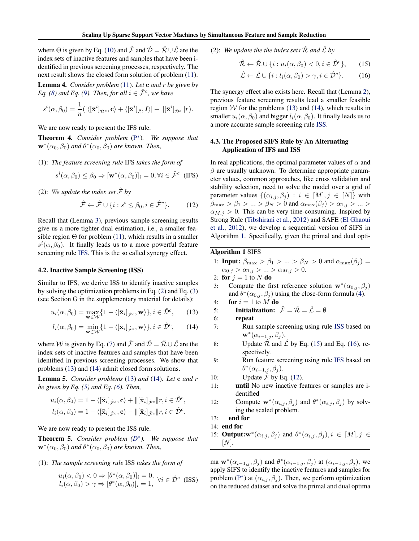<span id="page-4-0"></span>where  $\Theta$  is given by Eq. [\(10\)](#page-3-0) and  $\hat{\mathcal{F}}$  and  $\hat{\mathcal{D}} = \hat{\mathcal{R}} \cup \hat{\mathcal{L}}$  are the index sets of inactive features and samples that have been identified in previous screening processes, respectively. The next result shows the closed form solution of problem [\(11\)](#page-3-0).

Lemma 4. *Consider problem* [\(11\)](#page-3-0)*. Let* c *and* r *be given by Eq.* [\(8\)](#page-3-0) and *Eq.* [\(9\)](#page-3-0). Then, for all  $i \in \hat{\mathcal{F}}^c$ , we have

$$
s^{i}(\alpha,\beta_0)=\frac{1}{n}(|\langle [\bar{\mathbf{x}}^i]_{\hat{\mathcal{D}}^c},\mathbf{c}\rangle+\langle [\bar{\mathbf{x}}^i]_{\hat{\mathcal{L}}},\mathbf{I}\rangle|+ \|[\bar{\mathbf{x}}^i]_{\hat{\mathcal{D}}^c}\|r).
$$

We are now ready to present the IFS rule.

Theorem 4. *Consider problem* [\(P](#page-1-0) ∗ )*. We suppose that*  $\mathbf{w}^*(\alpha_0, \beta_0)$  and  $\theta^*(\alpha_0, \beta_0)$  are known. Then,

(1): *The feature screening rule* IFS *takes the form of*

$$
s^{i}(\alpha,\beta_0) \leq \beta_0 \Rightarrow [\mathbf{w}^*(\alpha,\beta_0)]_i = 0, \forall i \in \hat{\mathcal{F}}^c \text{ (IFS)}
$$

(2): We update the index set  $\hat{\mathcal{F}}$  by

$$
\hat{\mathcal{F}} \leftarrow \hat{\mathcal{F}} \cup \{ i : s^i \le \beta_0, i \in \hat{\mathcal{F}}^c \}. \tag{12}
$$

Recall that (Lemma [3\)](#page-3-0), previous sample screening results give us a more tighter dual estimation, i.e., a smaller feasible region  $\Theta$  for problem [\(11\)](#page-3-0), which results in a smaller  $s^i(\alpha,\beta_0)$ . It finally leads us to a more powerful feature screening rule IFS. This is the so called synergy effect.

## 4.2. Inactive Sample Screening (ISS)

Similar to IFS, we derive ISS to identify inactive samples by solving the optimization problems in Eq. [\(2\)](#page-2-0) and Eq. [\(3\)](#page-2-0) (see Section G in the supplementary material for details):

$$
u_i(\alpha, \beta_0) = \max_{\mathbf{w} \in \mathcal{W}} \{1 - \langle [\bar{\mathbf{x}}_i]_{\hat{\mathcal{F}}^c}, \mathbf{w} \rangle\}, i \in \hat{\mathcal{D}}^c,
$$
 (13)

$$
l_i(\alpha, \beta_0) = \min_{\mathbf{w} \in \mathcal{W}} \{1 - \langle [\bar{\mathbf{x}}_i]_{\hat{\mathcal{F}}^c}, \mathbf{w} \rangle\}, i \in \hat{\mathcal{D}}^c,
$$
 (14)

where W is given by Eq. [\(7\)](#page-3-0) and  $\hat{\mathcal{F}}$  and  $\hat{\mathcal{D}} = \hat{\mathcal{R}} \cup \hat{\mathcal{L}}$  are the index sets of inactive features and samples that have been identified in previous screening processes. We show that problems (13) and (14) admit closed form solutions.

Lemma 5. *Consider problems* (13) *and* (14)*. Let* c *and* r *be given by Eq. [\(5\)](#page-3-0) and Eq. [\(6\)](#page-3-0). Then,*

$$
u_i(\alpha, \beta_0) = 1 - \langle [\bar{\mathbf{x}}_i]_{\hat{\mathcal{F}}^c}, \mathbf{c} \rangle + ||[\bar{\mathbf{x}}_i]_{\hat{\mathcal{F}}^c} || r, i \in \hat{\mathcal{D}}^c,
$$
  

$$
l_i(\alpha, \beta_0) = 1 - \langle [\bar{\mathbf{x}}_i]_{\hat{\mathcal{F}}^c}, \mathbf{c} \rangle - ||[\bar{\mathbf{x}}_i]_{\hat{\mathcal{F}}^c} || r, i \in \hat{\mathcal{D}}^c.
$$

We are now ready to present the ISS rule.

Theorem 5. *Consider problem [\(D](#page-1-0)* ∗ *). We suppose that*  $\mathbf{w}^*(\alpha_0, \beta_0)$  and  $\theta^*(\alpha_0, \beta_0)$  are known. Then,

#### (1): *The sample screening rule* ISS *takes the form of*

$$
u_i(\alpha, \beta_0) < 0 \Rightarrow [\theta^*(\alpha, \beta_0)]_i = 0, \ \forall i \in \hat{\mathcal{D}}^c \text{ (ISS)}
$$
\n
$$
l_i(\alpha, \beta_0) > \gamma \Rightarrow [\theta^*(\alpha, \beta_0)]_i = 1,
$$

(2): We update the the index sets  $\hat{\mathcal{R}}$  and  $\hat{\mathcal{L}}$  by

$$
\hat{\mathcal{R}} \leftarrow \hat{\mathcal{R}} \cup \{i : u_i(\alpha, \beta_0) < 0, i \in \hat{\mathcal{D}}^c\},\qquad(15)
$$

$$
\hat{\mathcal{L}} \leftarrow \hat{\mathcal{L}} \cup \{ i : l_i(\alpha, \beta_0) > \gamma, i \in \hat{\mathcal{D}}^c \}. \tag{16}
$$

The synergy effect also exists here. Recall that (Lemma [2\)](#page-3-0), previous feature screening results lead a smaller feasible region  $W$  for the problems (13) and (14), which results in smaller  $u_i(\alpha, \beta_0)$  and bigger  $l_i(\alpha, \beta_0)$ . It finally leads us to a more accurate sample screening rule ISS.

# 4.3. The Proposed SIFS Rule by An Alternating Application of IFS and ISS

In real applications, the optimal parameter values of  $\alpha$  and  $\beta$  are usually unknown. To determine appropriate parameter values, common approaches, like cross validation and stability selection, need to solve the model over a grid of parameter values  $\{(\alpha_{i,j}, \beta_j) : i \in [M], j \in [N]\}$  with  $\beta_{\text{max}} > \beta_1 > ... > \beta_N > 0$  and  $\alpha_{\text{max}}(\beta_i) > \alpha_{1,i} > ... >$  $\alpha_{M,i} > 0$ . This can be very time-consuming. Inspired by Strong Rule [\(Tibshirani et al.,](#page-8-0) [2012\)](#page-8-0) and SAFE [\(El Ghaoui](#page-8-0) [et al.,](#page-8-0) [2012\)](#page-8-0), we develop a sequential version of SIFS in Algorithm 1. Specifically, given the primal and dual opti-

# Algorithm 1 SIFS

1: **Input:**  $\beta_{\text{max}} > \beta_1 > ... > \beta_N > 0$  and  $\alpha_{\text{max}}(\beta_j) =$  $\alpha_{0,j} > \alpha_{1,j} > ... > \alpha_{M,j} > 0.$ 

2: for  $j = 1$  to N do

3: Compute the first reference solution  $\mathbf{w}^*(\alpha_{0,j}, \beta_j)$ and  $\theta^*(\alpha_{0,j}, \beta_j)$  using the close-form formula [\(4\)](#page-3-0).

4: **for**  $i = 1$  to  $M$  **do** 

5: **Initialization:**  $\hat{\mathcal{F}} = \hat{\mathcal{R}} = \hat{\mathcal{L}} = \emptyset$ 

6: repeat

- 7: Run sample screening using rule ISS based on  $\mathbf{w}^*(\alpha_{i-1,j}, \beta_j).$
- 8: Update  $\hat{\mathcal{R}}$  and  $\hat{\mathcal{L}}$  by Eq. (15) and Eq. (16), respectively.
- 9: Run feature screening using rule IFS based on  $\theta^*(\alpha_{i-1,j},\beta_j).$

10: Update  $\hat{\mathcal{F}}$  by Eq. (12).

- 11: until No new inactive features or samples are identified
- 12: Compute  $\mathbf{w}^*(\alpha_{i,j}, \beta_j)$  and  $\theta^*(\alpha_{i,j}, \beta_j)$  by solving the scaled problem.
- 13: end for

14: end for

15: **Output:** $w^*(\alpha_{i,j}, \beta_j)$  and  $\theta^*(\alpha_{i,j}, \beta_j)$ ,  $i \in [M], j \in$  $[N]$ .

ma  $\mathbf{w}^*(\alpha_{i-1,j}, \beta_j)$  and  $\theta^*(\alpha_{i-1,j}, \beta_j)$  at  $(\alpha_{i-1,j}, \beta_j)$ , we apply SIFS to identify the inactive features and samples for problem [\(P](#page-1-0)<sup>\*</sup>) at  $(\alpha_{i,j}, \beta_j)$ . Then, we perform optimization on the reduced dataset and solve the primal and dual optima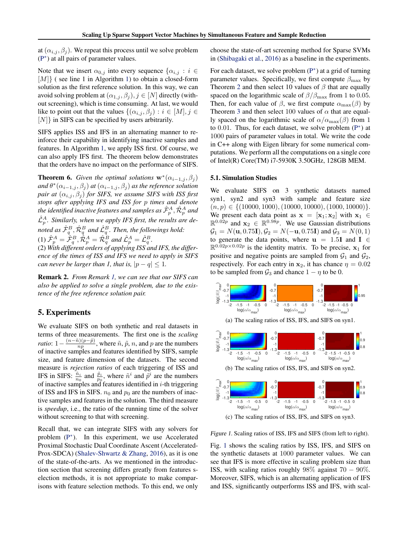<span id="page-5-0"></span>at  $(\alpha_{i,j}, \beta_j)$ . We repeat this process until we solve problem [\(P](#page-1-0) ∗ ) at all pairs of parameter values.

Note that we insert  $\alpha_{0,j}$  into every sequence  $\{\alpha_{i,j} : i \in$  $[M]$  (see line 1 in Algorithm [1\)](#page-4-0) to obtain a closed-form solution as the first reference solution. In this way, we can avoid solving problem at  $(\alpha_{1,i}, \beta_i), j \in [N]$  directly (without screening), which is time consuming. At last, we would like to point out that the values  $\{(\alpha_{i,j}, \beta_j) : i \in [M], j \in$ [N]} in SIFS can be specified by users arbitrarily.

SIFS applies ISS and IFS in an alternating manner to reinforce their capability in identifying inactive samples and features. In Algorithm [1,](#page-4-0) we apply ISS first. Of course, we can also apply IFS first. The theorem below demonstrates that the orders have no impact on the performance of SIFS.

**Theorem 6.** *Given the optimal solutions*  $\mathbf{w}^*(\alpha_{i-1,j}, \beta_j)$ and  $\theta^*(\alpha_{i-1,j}, \beta_j)$  at  $(\alpha_{i-1,j}, \beta_j)$  as the reference solution *pair at*  $(\alpha_{i,j}, \beta_j)$  *for SIFS, we assume SIFS with ISS first stops after applying IFS and ISS for* p *times and denote* the identified inactive features and samples as  $\hat{\mathcal{F}}_p^A, \hat{\mathcal{R}}_p^A$  and  $\hat{\mathcal{L}}_p^A$ . Similarly, when we apply IFS first, the results are denoted as  $\hat{\mathcal{F}}_q^B$ ,  $\hat{\mathcal{R}}_q^B$  and  $\hat{\mathcal{L}}_q^B$ . Then, the followings hold: (1)  $\hat{\mathcal{F}}^A_p = \hat{\mathcal{F}}^B_q$ ,  $\hat{\mathcal{R}}^A_p = \hat{\mathcal{R}}^B_q$  and  $\hat{\mathcal{L}}^A_p = \hat{\mathcal{L}}^B_q$ .

(2) *With different orders of applying ISS and IFS, the difference of the times of ISS and IFS we need to apply in SIFS can never be larger than 1, that is,*  $|p - q| \leq 1$ .

Remark 2. *From Remark [1,](#page-3-0) we can see that our SIFS can also be applied to solve a single problem, due to the existence of the free reference solution pair.*

# 5. Experiments

We evaluate SIFS on both synthetic and real datasets in terms of three measurements. The first one is the *scaling ratio*:  $1 - \frac{(n - \tilde{n})(p - \tilde{p})}{np}$  $\frac{n_1(p-p)}{np}$ , where  $\tilde{n}, \tilde{p}, n$ , and p are the numbers of inactive samples and features identified by SIFS, sample size, and feature dimension of the datasets. The second measure is *rejection ratios* of each triggering of ISS and IFS in SIFS:  $\frac{\tilde{n}_i}{n_0}$  and  $\frac{\tilde{p}_i}{p_0}$ , where  $\tilde{n}^i$  and  $\tilde{p}^i$  are the numbers of inactive samples and features identified in  $i$ -th triggering of ISS and IFS in SIFS.  $n_0$  and  $p_0$  are the numbers of inactive samples and features in the solution. The third measure is *speedup*, i.e., the ratio of the running time of the solver without screening to that with screening.

Recall that, we can integrate SIFS with any solvers for problem [\(P](#page-1-0)<sup>\*</sup>). In this experiment, we use Accelerated Proximal Stochastic Dual Coordinate Ascent (Accelerated-Prox-SDCA) [\(Shalev-Shwartz & Zhang,](#page-8-0) [2016\)](#page-8-0), as it is one of the state-of-the-arts. As we mentioned in the introduction section that screening differs greatly from features selection methods, it is not appropriate to make comparisons with feature selection methods. To this end, we only

choose the state-of-art screening method for Sparse SVMs in [\(Shibagaki et al.,](#page-8-0) [2016\)](#page-8-0) as a baseline in the experiments.

For each dataset, we solve problem  $(P^*)$  $(P^*)$  at a grid of turning parameter values. Specifically, we first compute  $\beta_{\text{max}}$  by Theorem [2](#page-2-0) and then select 10 values of  $\beta$  that are equally spaced on the logarithmic scale of  $\beta/\beta_{\text{max}}$  from 1 to 0.05. Then, for each value of  $\beta$ , we first compute  $\alpha_{\text{max}}(\beta)$  by Theorem [3](#page-3-0) and then select 100 values of  $\alpha$  that are equally spaced on the logarithmic scale of  $\alpha/\alpha_{\text{max}}(\beta)$  from 1 to  $0.01$ . Thus, for each dataset, we solve problem  $(P^*)$  $(P^*)$  at 1000 pairs of parameter values in total. We write the code in C++ along with Eigen library for some numerical computations. We perform all the computations on a single core of Intel(R) Core(TM) i7-5930K 3.50GHz, 128GB MEM.

#### 5.1. Simulation Studies

We evaluate SIFS on 3 synthetic datasets named syn1, syn2 and syn3 with sample and feature size  $(n, p) \in \{(10000, 1000), (10000, 10000), (1000, 10000)\}.$ We present each data point as  $x = [x_1; x_2]$  with  $x_1 \in$  $\mathbb{R}^{0.02p}$  and  $\mathbf{x}_2 \in \mathbb{R}^{0.98p}$ . We use Gaussian distributions  $G_1 = N(\mathbf{u}, 0.75\mathbf{I}), G_2 = N(-\mathbf{u}, 0.75\mathbf{I})$  and  $G_3 = N(0, 1)$ to generate the data points, where  $\mathbf{u} = 1.51$  and  $\mathbf{I} \in$  $\mathbb{R}^{0.02p \times 0.02p}$  is the identity matrix. To be precise,  $x_1$  for positive and negative points are sampled from  $\mathcal{G}_1$  and  $\mathcal{G}_2$ , respectively. For each entry in  $x_2$ , it has chance  $\eta = 0.02$ to be sampled from  $\mathcal{G}_3$  and chance  $1 - \eta$  to be 0.



Figure 1. Scaling ratios of ISS, IFS and SIFS (from left to right).

Fig. 1 shows the scaling ratios by ISS, IFS, and SIFS on the synthetic datasets at 1000 parameter values. We can see that IFS is more effective in scaling problem size than ISS, with scaling ratios roughly  $98\%$  against  $70 - 90\%$ . Moreover, SIFS, which is an alternating application of IFS and ISS, significantly outperforms ISS and IFS, with scal-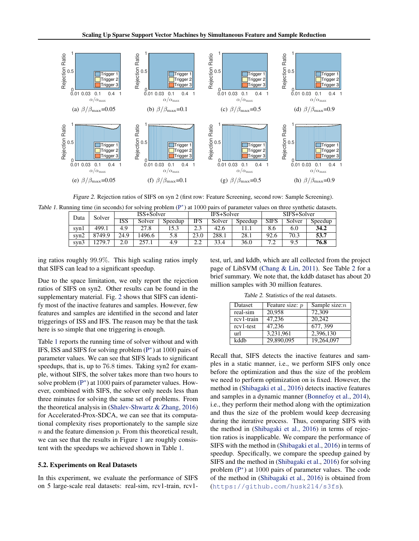

Figure 2. Rejection ratios of SIFS on syn 2 (first row: Feature Screening, second row: Sample Screening).

Table 1. Running time (in seconds) for solving problem [\(P](#page-1-0)\*) at 1000 pairs of parameter values on three synthetic datasets.

| Data | Solver | - -<br>ISS+Solver |        |         | IFS+Solver |        |         | SIFS+Solver |        |         |
|------|--------|-------------------|--------|---------|------------|--------|---------|-------------|--------|---------|
|      |        | ISS               | Solver | Speedup | IFS        | Solver | Speedup | <b>SIFS</b> | Solver | Speedup |
| svnl | 499.1  | 4.9               | 27.8   | .5.3    | າາ         | 42.6   |         | 8.6         | 6.0    | 34.2    |
| swn2 | 8749.9 | 24.9              | 1496.6 | 5.8     | 23.0       | 288.1  | 28.1    | 92.6        | 70.3   | 53.7    |
| svn3 | 1279.7 | 2.0               |        | 4.9     | ົ<br>2.L   | 33.4   | 36.0    | −<br>. .    | ر.ر    | 76.8    |

ing ratios roughly 99.9%. This high scaling ratios imply that SIFS can lead to a significant speedup.

Due to the space limitation, we only report the rejection ratios of SIFS on syn2. Other results can be found in the supplementary material. Fig. 2 shows that SIFS can identify most of the inactive features and samples. However, few features and samples are identified in the second and later triggerings of ISS and IFS. The reason may be that the task here is so simple that one triggering is enough.

Table 1 reports the running time of solver without and with IFS, ISS and SIFS for solving problem  $(P^*)$  $(P^*)$  at 1000 pairs of parameter values. We can see that SIFS leads to significant speedups, that is, up to 76.8 times. Taking syn2 for example, without SIFS, the solver takes more than two hours to solve problem [\(P](#page-1-0)<sup>\*</sup>) at 1000 pairs of parameter values. However, combined with SIFS, the solver only needs less than three minutes for solving the same set of problems. From the theoretical analysis in [\(Shalev-Shwartz & Zhang,](#page-8-0) [2016\)](#page-8-0) for Accelerated-Prox-SDCA, we can see that its computational complexity rises proportionately to the sample size  $n$  and the feature dimension  $p$ . From this theoretical result, we can see that the results in Figure [1](#page-5-0) are roughly consistent with the speedups we achieved shown in Table 1.

#### 5.2. Experiments on Real Datasets

In this experiment, we evaluate the performance of SIFS on 5 large-scale real datasets: real-sim, rcv1-train, rcv1test, url, and kddb, which are all collected from the project page of LibSVM [\(Chang & Lin,](#page-8-0) [2011\)](#page-8-0). See Table 2 for a brief summary. We note that, the kddb dataset has about 20 million samples with 30 million features.

Table 2. Statistics of the real datasets.

| Dataset     | Feature size: $p$ | Sample size: $n$ |
|-------------|-------------------|------------------|
| real-sim    | 20.958            | 72.309           |
| rcv1-train  | 47,236            | 20.242           |
| $rcv1-test$ | 47,236            | 677, 399         |
| url         | 3,231,961         | 2,396,130        |
| kddh        | 29,890,095        | 19,264,097       |

Recall that, SIFS detects the inactive features and samples in a static manner, i.e., we perform SIFS only once before the optimization and thus the size of the problem we need to perform optimization on is fixed. However, the method in [\(Shibagaki et al.,](#page-8-0) [2016\)](#page-8-0) detects inactive features and samples in a dynamic manner [\(Bonnefoy et al.,](#page-8-0) [2014\)](#page-8-0), i.e., they perform their method along with the optimization and thus the size of the problem would keep decreasing during the iterative process. Thus, comparing SIFS with the method in [\(Shibagaki et al.,](#page-8-0) [2016\)](#page-8-0) in terms of rejection ratios is inapplicable. We compare the performance of SIFS with the method in [\(Shibagaki et al.,](#page-8-0) [2016\)](#page-8-0) in terms of speedup. Specifically, we compare the speedup gained by SIFS and the method in [\(Shibagaki et al.,](#page-8-0) [2016\)](#page-8-0) for solving problem [\(P](#page-1-0)<sup>\*</sup>) at 1000 pairs of parameter values. The code of the method in [\(Shibagaki et al.,](#page-8-0) [2016\)](#page-8-0) is obtained from (<https://github.com/husk214/s3fs>).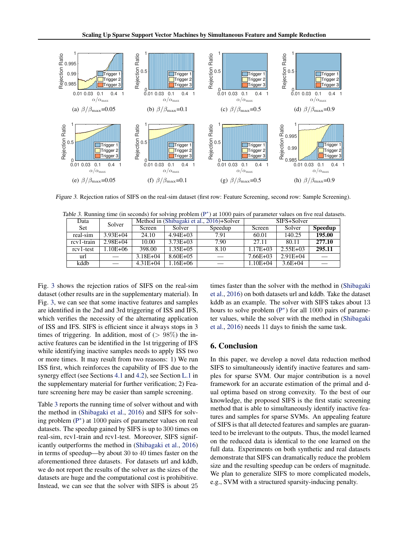

Figure 3. Rejection ratios of SIFS on the real-sim dataset (first row: Feature Screening, second row: Sample Screening).

Table 3. Running time (in seconds) for solving problem [\(P](#page-1-0)<sup>\*</sup>) at 1000 pairs of parameter values on five real datasets.

| Data       | Solver       |               |               | Method in (Shibagaki et al., 2016)+Solver | SIFS+Solver  |              |                |
|------------|--------------|---------------|---------------|-------------------------------------------|--------------|--------------|----------------|
| Set        |              | <b>Screen</b> | Solver        | Speedup                                   | Screen       | Solver       | <b>Speedup</b> |
| real-sim   | $3.93E + 04$ | 24.10         | $4.94E + 03$  | 7.91                                      | 60.01        | 140.25       | 195.00         |
| rcy1-train | $2.98E + 04$ | 10.00         | $3.73E + 03$  | 7.90                                      | 27.11        | 80.11        | 277.10         |
| rcy1-test  | 1.10E+06     | 398.00        | $1.35E + 0.5$ | 8.10                                      | $1.17E + 03$ | $2.55E + 03$ | 295.11         |
| url        |              | $3.18E + 04$  | $8.60E + 05$  |                                           | $7.66E + 03$ | $2.91E + 04$ |                |
| kddb       |              | $4.31E + 04$  | $1.16E + 06$  |                                           | 1.10E+04     | $3.6E + 04$  |                |

Fig. 3 shows the rejection ratios of SIFS on the real-sim dataset (other results are in the supplementary material). In Fig. 3, we can see that some inactive features and samples are identified in the 2nd and 3rd triggering of ISS and IFS, which verifies the necessity of the alternating application of ISS and IFS. SIFS is efficient since it always stops in 3 times of triggering. In addition, most of  $(> 98\%)$  the inactive features can be identified in the 1st triggering of IFS while identifying inactive samples needs to apply ISS two or more times. It may result from two reasons: 1) We run ISS first, which reinforces the capability of IFS due to the synergy effect (see Sections [4.1](#page-3-0) and [4.2\)](#page-4-0), see Section [L.1](#page--1-0) in the supplementary material for further verification; 2) Feature screening here may be easier than sample screening.

Table 3 reports the running time of solver without and with the method in [\(Shibagaki et al.,](#page-8-0) [2016\)](#page-8-0) and SIFS for solv-ing problem [\(P](#page-1-0)<sup>\*</sup>) at 1000 pairs of parameter values on real datasets. The speedup gained by SIFS is up to 300 times on real-sim, rcv1-train and rcv1-test. Moreover, SIFS significantly outperforms the method in [\(Shibagaki et al.,](#page-8-0) [2016\)](#page-8-0) in terms of speedup—by about 30 to 40 times faster on the aforementioned three datasets. For datasets url and kddb, we do not report the results of the solver as the sizes of the datasets are huge and the computational cost is prohibitive. Instead, we can see that the solver with SIFS is about 25 times faster than the solver with the method in [\(Shibagaki](#page-8-0) [et al.,](#page-8-0) [2016\)](#page-8-0) on both datasets url and kddb. Take the dataset kddb as an example. The solver with SIFS takes about 13 hours to solve problem [\(P](#page-1-0)<sup>\*</sup>) for all 1000 pairs of parameter values, while the solver with the method in [\(Shibagaki](#page-8-0) [et al.,](#page-8-0) [2016\)](#page-8-0) needs 11 days to finish the same task.

# 6. Conclusion

In this paper, we develop a novel data reduction method SIFS to simultaneously identify inactive features and samples for sparse SVM. Our major contribution is a novel framework for an accurate estimation of the primal and dual optima based on strong convexity. To the best of our knowledge, the proposed SIFS is the first static screening method that is able to simultaneously identify inactive features and samples for sparse SVMs. An appealing feature of SIFS is that all detected features and samples are guaranteed to be irrelevant to the outputs. Thus, the model learned on the reduced data is identical to the one learned on the full data. Experiments on both synthetic and real datasets demonstrate that SIFS can dramatically reduce the problem size and the resulting speedup can be orders of magnitude. We plan to generalize SIFS to more complicated models, e.g., SVM with a structured sparsity-inducing penalty.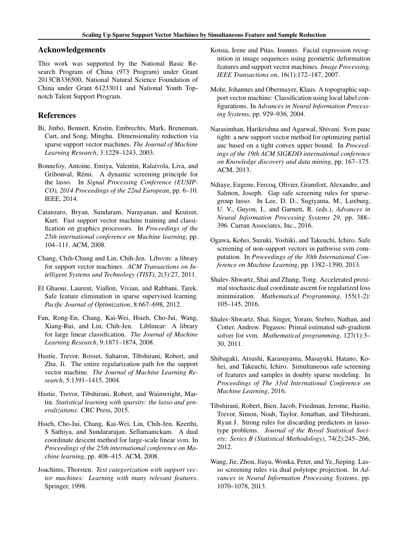# <span id="page-8-0"></span>Acknowledgements

This work was supported by the National Basic Research Program of China (973 Program) under Grant 2013CB336500, National Natural Science Foundation of China under Grant 61233011 and National Youth Topnotch Talent Support Program.

# References

- Bi, Jinbo, Bennett, Kristin, Embrechts, Mark, Breneman, Curt, and Song, Minghu. Dimensionality reduction via sparse support vector machines. *The Journal of Machine Learning Research*, 3:1229–1243, 2003.
- Bonnefoy, Antoine, Emiya, Valentin, Ralaivola, Liva, and Gribonval, Remi. A dynamic screening principle for ´ the lasso. In *Signal Processing Conference (EUSIP-CO), 2014 Proceedings of the 22nd European*, pp. 6–10. IEEE, 2014.
- Catanzaro, Bryan, Sundaram, Narayanan, and Keutzer, Kurt. Fast support vector machine training and classification on graphics processors. In *Proceedings of the 25th international conference on Machine learning*, pp. 104–111. ACM, 2008.
- Chang, Chih-Chung and Lin, Chih-Jen. Libsvm: a library for support vector machines. *ACM Transactions on Intelligent Systems and Technology (TIST)*, 2(3):27, 2011.
- El Ghaoui, Laurent, Viallon, Vivian, and Rabbani, Tarek. Safe feature elimination in sparse supervised learning. *Pacific Journal of Optimization*, 8:667–698, 2012.
- Fan, Rong-En, Chang, Kai-Wei, Hsieh, Cho-Jui, Wang, Xiang-Rui, and Lin, Chih-Jen. Liblinear: A library for large linear classification. *The Journal of Machine Learning Research*, 9:1871–1874, 2008.
- Hastie, Trevor, Rosset, Saharon, Tibshirani, Robert, and Zhu, Ji. The entire regularization path for the support vector machine. *The Journal of Machine Learning Research*, 5:1391–1415, 2004.
- Hastie, Trevor, Tibshirani, Robert, and Wainwright, Martin. *Statistical learning with sparsity: the lasso and generalizations*. CRC Press, 2015.
- Hsieh, Cho-Jui, Chang, Kai-Wei, Lin, Chih-Jen, Keerthi, S Sathiya, and Sundararajan, Sellamanickam. A dual coordinate descent method for large-scale linear svm. In *Proceedings of the 25th international conference on Machine learning*, pp. 408–415. ACM, 2008.
- Joachims, Thorsten. *Text categorization with support vector machines: Learning with many relevant features*. Springer, 1998.
- Kotsia, Irene and Pitas, Ioannis. Facial expression recognition in image sequences using geometric deformation features and support vector machines. *Image Processing, IEEE Transactions on*, 16(1):172–187, 2007.
- Mohr, Johannes and Obermayer, Klaus. A topographic support vector machine: Classification using local label configurations. In *Advances in Neural Information Processing Systems*, pp. 929–936, 2004.
- Narasimhan, Harikrishna and Agarwal, Shivani. Svm pauc tight: a new support vector method for optimizing partial auc based on a tight convex upper bound. In *Proceedings of the 19th ACM SIGKDD international conference on Knowledge discovery and data mining*, pp. 167–175. ACM, 2013.
- Ndiaye, Eugene, Fercoq, Olivier, Gramfort, Alexandre, and Salmon, Joseph. Gap safe screening rules for sparsegroup lasso. In Lee, D. D., Sugiyama, M., Luxburg, U. V., Guyon, I., and Garnett, R. (eds.), *Advances in Neural Information Processing Systems 29*, pp. 388– 396. Curran Associates, Inc., 2016.
- Ogawa, Kohei, Suzuki, Yoshiki, and Takeuchi, Ichiro. Safe screening of non-support vectors in pathwise svm computation. In *Proceedings of the 30th International Conference on Machine Learning*, pp. 1382–1390, 2013.
- Shalev-Shwartz, Shai and Zhang, Tong. Accelerated proximal stochastic dual coordinate ascent for regularized loss minimization. *Mathematical Programming*, 155(1-2): 105–145, 2016.
- Shalev-Shwartz, Shai, Singer, Yoram, Srebro, Nathan, and Cotter, Andrew. Pegasos: Primal estimated sub-gradient solver for svm. *Mathematical programming*, 127(1):3– 30, 2011.
- Shibagaki, Atsushi, Karasuyama, Masayuki, Hatano, Kohei, and Takeuchi, Ichiro. Simultaneous safe screening of features and samples in doubly sparse modeling. In *Proceedings of The 33rd International Conference on Machine Learning*, 2016.
- Tibshirani, Robert, Bien, Jacob, Friedman, Jerome, Hastie, Trevor, Simon, Noah, Taylor, Jonathan, and Tibshirani, Ryan J. Strong rules for discarding predictors in lassotype problems. *Journal of the Royal Statistical Society: Series B (Statistical Methodology)*, 74(2):245–266, 2012.
- Wang, Jie, Zhou, Jiayu, Wonka, Peter, and Ye, Jieping. Lasso screening rules via dual polytope projection. In *Advances in Neural Information Processing Systems*, pp. 1070–1078, 2013.